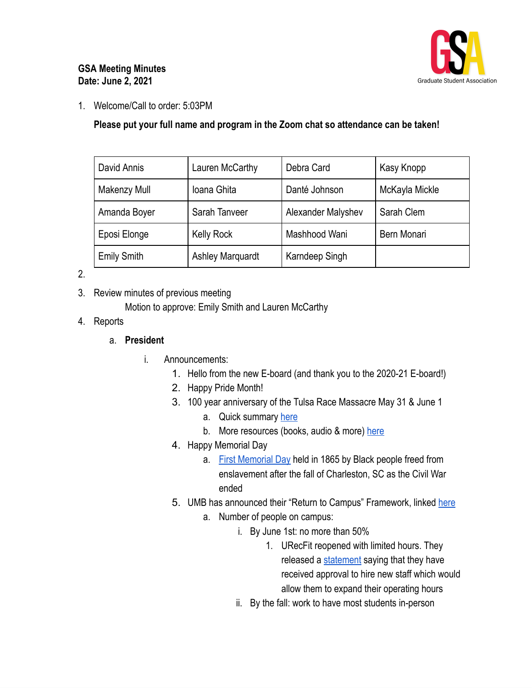

## **GSA Meeting Minutes Date: June 2, 2021**

1. Welcome/Call to order: 5:03PM

**Please put your full name and program in the Zoom chat so attendance can be taken!**

| David Annis         | Lauren McCarthy         | Debra Card         | Kasy Knopp     |
|---------------------|-------------------------|--------------------|----------------|
| <b>Makenzy Mull</b> | Ioana Ghita             | Danté Johnson      | McKayla Mickle |
| Amanda Boyer        | Sarah Tanveer           | Alexander Malyshev | Sarah Clem     |
| Eposi Elonge        | <b>Kelly Rock</b>       | Mashhood Wani      | Bern Monari    |
| <b>Emily Smith</b>  | <b>Ashley Marquardt</b> | Karndeep Singh     |                |

2.

3. Review minutes of previous meeting

Motion to approve: Emily Smith and Lauren McCarthy

4. Reports

## a. **President**

- i. Announcements:
	- 1. Hello from the new E-board (and thank you to the 2020-21 E-board!)
	- 2. Happy Pride Month!
	- 3. 100 year anniversary of the Tulsa Race Massacre May 31 & June 1
		- a. Quick summary [here](https://www.history.com/topics/roaring-twenties/tulsa-race-massacre)
		- b. More resources (books, audio & more) [here](https://www.tulsa2021.org/resources)
	- 4. Happy Memorial Day
		- a. First [Memorial](https://www.history.com/news/memorial-day-civil-war-slavery-charleston) Day held in 1865 by Black people freed from enslavement after the fall of Charleston, SC as the Civil War ended
	- 5. UMB has announced their "Return to Campus" Framework, linked [here](https://www.umaryland.edu/media/umb/novel-coronavirus-2019-ncov/2021-Return-to-Campus-Plan-3.31.21.pdf)
		- a. Number of people on campus:
			- i. By June 1st: no more than 50%
				- 1. URecFit reopened with limited hours. They released a [statement](https://www.umaryland.edu/urecfit/virtual-urecfit-and-wellness/) saying that they have received approval to hire new staff which would allow them to expand their operating hours
			- ii. By the fall: work to have most students in-person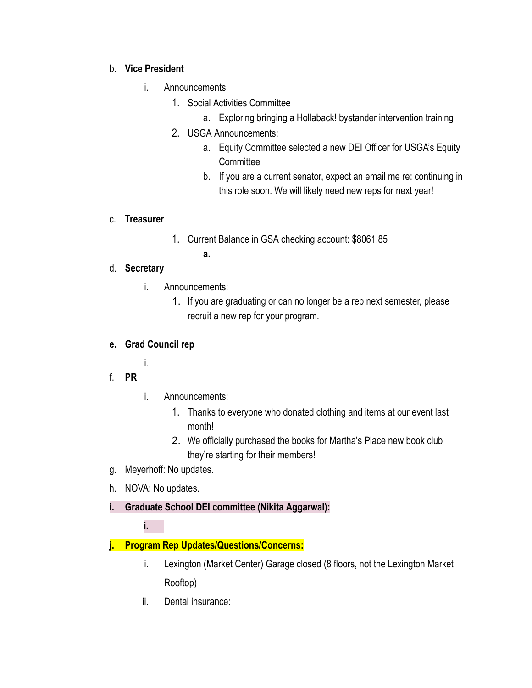## b. **Vice President**

- i. Announcements
	- 1. Social Activities Committee
		- a. Exploring bringing a Hollaback! bystander intervention training
	- 2. USGA Announcements:
		- a. Equity Committee selected a new DEI Officer for USGA's Equity **Committee**
		- b. If you are a current senator, expect an email me re: continuing in this role soon. We will likely need new reps for next year!

#### c. **Treasurer**

- 1. Current Balance in GSA checking account: \$8061.85
	- **a.**

## d. **Secretary**

- i. Announcements:
	- 1. If you are graduating or can no longer be a rep next semester, please recruit a new rep for your program.

# **e. Grad Council rep**

- i.
- f. **PR**
- i. Announcements:
	- 1. Thanks to everyone who donated clothing and items at our event last month!
	- 2. We officially purchased the books for Martha's Place new book club they're starting for their members!
- g. Meyerhoff: No updates.
- h. NOVA: No updates.
- **i. Graduate School DEI committee (Nikita Aggarwal):**

**i.**

# **j. Program Rep Updates/Questions/Concerns:**

- i. Lexington (Market Center) Garage closed (8 floors, not the Lexington Market Rooftop)
- ii. Dental insurance: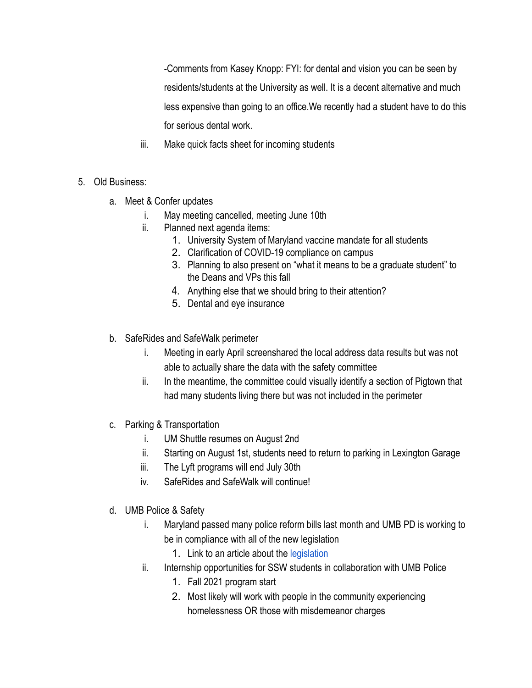-Comments from Kasey Knopp: FYI: for dental and vision you can be seen by residents/students at the University as well. It is a decent alternative and much less expensive than going to an office.We recently had a student have to do this for serious dental work.

- iii. Make quick facts sheet for incoming students
- 5. Old Business:
	- a. Meet & Confer updates
		- i. May meeting cancelled, meeting June 10th
		- ii. Planned next agenda items:
			- 1. University System of Maryland vaccine mandate for all students
			- 2. Clarification of COVID-19 compliance on campus
			- 3. Planning to also present on "what it means to be a graduate student" to the Deans and VPs this fall
			- 4. Anything else that we should bring to their attention?
			- 5. Dental and eye insurance
	- b. SafeRides and SafeWalk perimeter
		- i. Meeting in early April screenshared the local address data results but was not able to actually share the data with the safety committee
		- ii. In the meantime, the committee could visually identify a section of Pigtown that had many students living there but was not included in the perimeter
	- c. Parking & Transportation
		- i. UM Shuttle resumes on August 2nd
		- ii. Starting on August 1st, students need to return to parking in Lexington Garage
		- iii. The Lyft programs will end July 30th
		- iv. SafeRides and SafeWalk will continue!
	- d. UMB Police & Safety
		- i. Maryland passed many police reform bills last month and UMB PD is working to be in compliance with all of the new legislation
			- 1. Link to an article about the [legislation](https://www.npr.org/2021/04/10/986159466/maryland-lawmakers-override-vetoes-on-sweeping-police-reform)
		- ii. Internship opportunities for SSW students in collaboration with UMB Police
			- 1. Fall 2021 program start
			- 2. Most likely will work with people in the community experiencing homelessness OR those with misdemeanor charges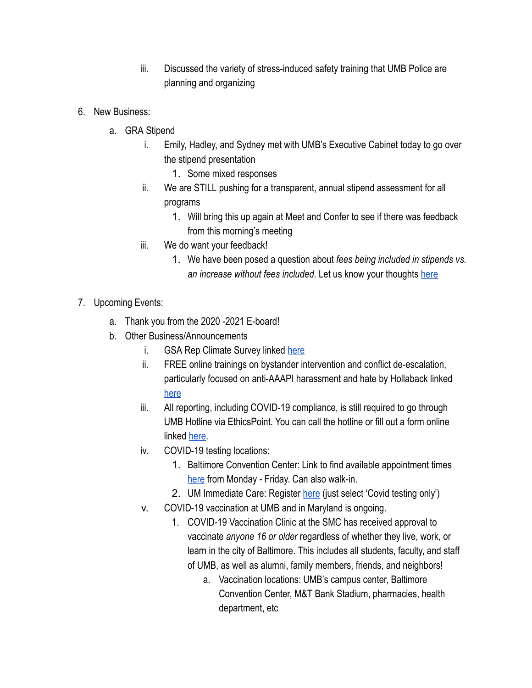- iii. Discussed the variety of stress-induced safety training that UMB Police are planning and organizing
- 6. New Business:
	- a. GRA Stipend
		- i. Emily, Hadley, and Sydney met with UMB's Executive Cabinet today to go over the stipend presentation
			- 1. Some mixed responses
		- ii. We are STILL pushing for a transparent, annual stipend assessment for all programs
			- 1. Will bring this up again at Meet and Confer to see if there was feedback from this morning's meeting
		- iii. We do want your feedback!
			- 1. We have been posed a question about *fees being included in stipends vs. an increase without fees included*. Let us know your thoughts [here](https://docs.google.com/forms/d/e/1FAIpQLSeiGkHogA2gQzUJ8cKVfAzW4JZohYoevWlaVeKvjov5OTySrw/viewform?gxids=7628)
- 7. Upcoming Events:
	- a. Thank you from the 2020 -2021 E-board!
	- b. Other Business/Announcements
		- i. GSA Rep Climate Survey linked [here](https://forms.gle/2Hjfe9EGZodZCiYV7)
		- ii. FREE online trainings on bystander intervention and conflict de-escalation, particularly focused on anti-AAAPI harassment and hate by Hollaback linked [here](https://www.ihollaback.org/harassmenttraining/)
		- iii. All reporting, including COVID-19 compliance, is still required to go through UMB Hotline via EthicsPoint. You can call the hotline or fill out a form online linked [here](https://www.umaryland.edu/coronavirus/content/testing-hygiene-and-health/how-can-i-report-someone-who-refuses-to-properly-wear-a-face-covering-in-acco.php).
		- iv. COVID-19 testing locations:
			- 1. Baltimore Convention Center: Link to find available appointment times [here](https://www.umms.org/coronavirus/fighting-covid/expanded-clinical-locations/baltimore-convention-center) from Monday - Friday. Can also walk-in.
			- 2. UM Immediate Care: Register [here](https://www.medschool.umaryland.edu/flushot/) (just select 'Covid testing only')
		- v. COVID-19 vaccination at UMB and in Maryland is ongoing.
			- 1. COVID-19 Vaccination Clinic at the SMC has received approval to vaccinate *anyone 16 or older* regardless of whether they live, work, or learn in the city of Baltimore. This includes all students, faculty, and staff of UMB, as well as alumni, family members, friends, and neighbors!
				- a. Vaccination locations: UMB's campus center, Baltimore Convention Center, M&T Bank Stadium, pharmacies, health department, etc